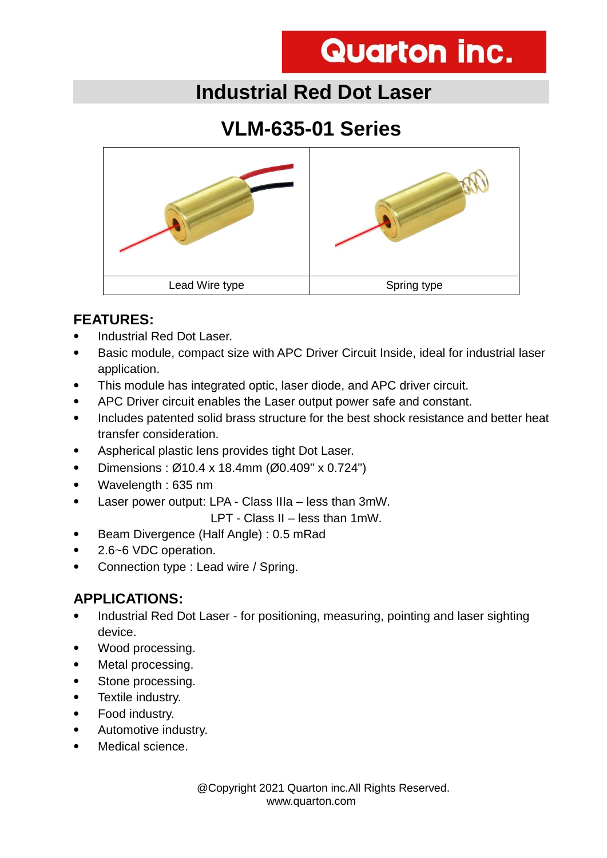# **Quarton inc.**

### **Industrial Red Dot Laser**

## **VLM-635-01 Series**



#### **FEATURES:**

- Industrial Red Dot Laser.
- Basic module, compact size with APC Driver Circuit Inside, ideal for industrial laser application.
- This module has integrated optic, laser diode, and APC driver circuit.
- APC Driver circuit enables the Laser output power safe and constant.
- Includes patented solid brass structure for the best shock resistance and better heat transfer consideration.
- Aspherical plastic lens provides tight Dot Laser.
- Dimensions :  $\varnothing$ 10.4 x 18.4mm ( $\varnothing$ 0.409" x 0.724")
- Wavelength : 635 nm
- Laser power output: LPA Class IIIa less than 3mW.

LPT - Class II – less than 1mW.

- Beam Divergence (Half Angle) : 0.5 mRad
- 2.6~6 VDC operation.
- Connection type : Lead wire / Spring.

#### **APPLICATIONS:**

- Industrial Red Dot Laser for positioning, measuring, pointing and laser sighting device.
- Wood processing.
- Metal processing.
- Stone processing.
- Textile industry.
- Food industry.
- Automotive industry.
- Medical science.

 @Copyright 2021 Quarton inc.All Rights Reserved. www.quarton.com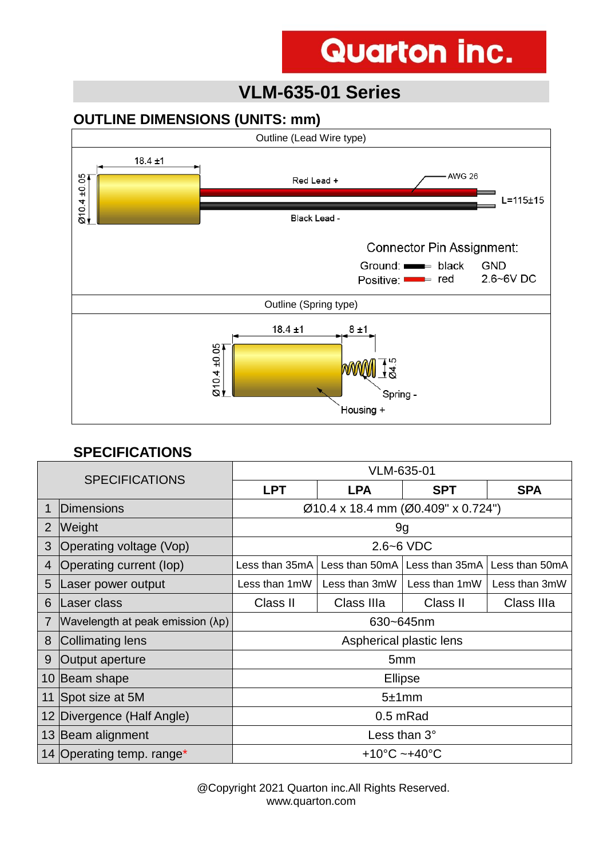# **Quarton inc.**

### **VLM-635-01 Series**

#### **OUTLINE DIMENSIONS (UNITS: mm)**



#### **SPECIFICATIONS**

| <b>SPECIFICATIONS</b> |                                  | VLM-635-01                         |                |                |                |
|-----------------------|----------------------------------|------------------------------------|----------------|----------------|----------------|
|                       |                                  | <b>LPT</b>                         | <b>LPA</b>     | <b>SPT</b>     | <b>SPA</b>     |
|                       | <b>IDimensions</b>               | Ø10.4 x 18.4 mm (Ø0.409" x 0.724") |                |                |                |
| 2                     | Weight                           | 9g                                 |                |                |                |
| 3                     | Operating voltage (Vop)          | $2.6 - 6$ VDC                      |                |                |                |
| 4                     | Operating current (lop)          | Less than 35mA                     | Less than 50mA | Less than 35mA | Less than 50mA |
| 5                     | Laser power output               | Less than 1mW                      | Less than 3mW  | Less than 1mW  | Less than 3mW  |
| 6                     | Laser class                      | Class II                           | Class IIIa     | Class II       | Class IIIa     |
| 7                     | Wavelength at peak emission (λp) | 630~645nm                          |                |                |                |
| 8                     | Collimating lens                 | Aspherical plastic lens            |                |                |                |
| 9                     | Output aperture                  | 5 <sub>mm</sub>                    |                |                |                |
|                       | 10 Beam shape                    | <b>Ellipse</b>                     |                |                |                |
| 11                    | Spot size at 5M                  | 5±1mm                              |                |                |                |
|                       | 12 Divergence (Half Angle)       | 0.5 mRad                           |                |                |                |
|                       | 13 Beam alignment                | Less than $3^\circ$                |                |                |                |
|                       | 14 Operating temp. range*        | $+10^{\circ}$ C ~ $+40^{\circ}$ C  |                |                |                |

 @Copyright 2021 Quarton inc.All Rights Reserved. www.quarton.com